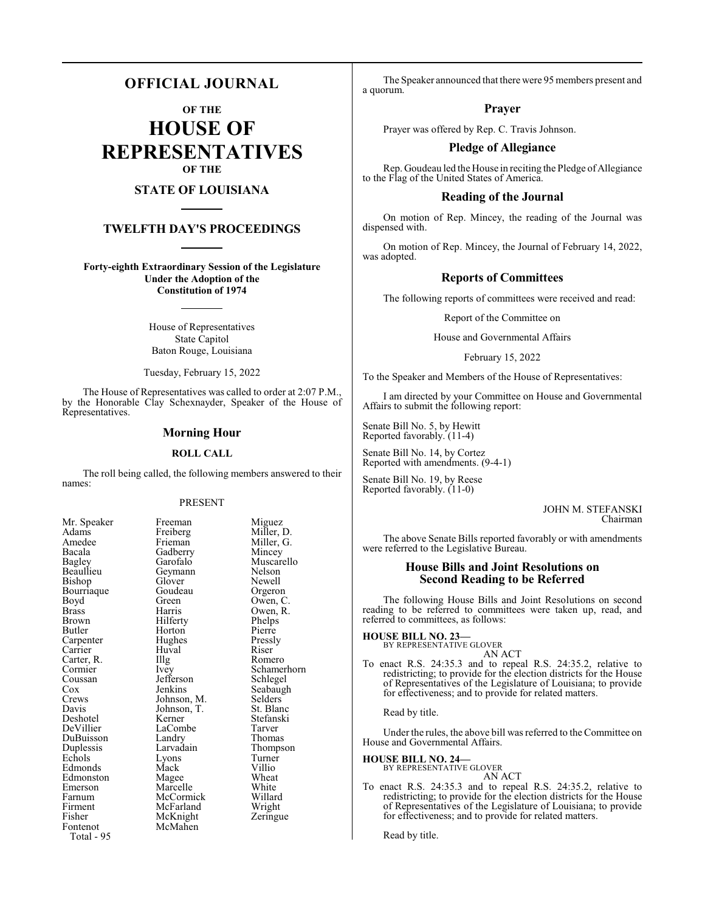## **OFFICIAL JOURNAL**

**OF THE**

**HOUSE OF REPRESENTATIVES OF THE**

## **STATE OF LOUISIANA**

## **TWELFTH DAY'S PROCEEDINGS**

**Forty-eighth Extraordinary Session of the Legislature Under the Adoption of the Constitution of 1974**

> House of Representatives State Capitol Baton Rouge, Louisiana

Tuesday, February 15, 2022

The House of Representatives was called to order at 2:07 P.M., by the Honorable Clay Schexnayder, Speaker of the House of Representatives.

### **Morning Hour**

### **ROLL CALL**

The roll being called, the following members answered to their names:

### PRESENT

Gadberry<br>Garofalo

Goudeau<br>Green

Huval<br>Illg

Jefferson<br>Jenkins

McKnight McMahen

| Mr. Speaker            |
|------------------------|
| Adams                  |
| Amedee                 |
| Bacala                 |
| Bagley                 |
| Beaullieu              |
| Bishop                 |
| Bourriaque             |
| Boyd                   |
| <b>Brass</b>           |
| Brown                  |
| <b>Butler</b>          |
| Carpenter              |
| Carrier                |
| Carter, R.<br>Cormier  |
|                        |
| Coussan                |
| Cox                    |
| Crews                  |
| Davis                  |
| Deshotel               |
|                        |
| DeVillier<br>DuBuisson |
| Duplessis              |
| Echols                 |
| Edmonds                |
| Edmonston              |
| Emerson                |
| Farnum                 |
| Firment                |
| Fisher                 |
| Fontenot               |
| Total - 95             |

er Freeman Miguez<br>Mams Freiberg Miller, 1 Freiberg Miller, D.<br>Frieman Miller, G. Miller, G.<br>Mincey Muscarello<br>Nelson Geymann Nelson<br>Glover Newell Glover Newell<br>Goudeau Orgeron Green Owen, C.<br>Harris Owen, R. Owen, R.<br>Phelps Hilferty<br>
Horton Pierre Horton Pierre<br>
Hughes Pressly Hughes Pressl<br>Huval Riser The Romero<br>
Ivev Schamer Schamerhorn<br>Schlegel Seabaugh<br>Selders Johnson, M. Selders<br>Johnson, T. St. Blanc Johnson, T.<br>Kerner Stefanski<br>Tarver LaCombe Tarver<br>
Landry Thomas Landry Thomas<br>
Larvadain Thompson Larvadain Thomp<br>Lyons Turner Echols Lyons Turner Mack Villio<br>
Magee Wheat Magee Wheat<br>
Marcelle White Marcelle White<br>
McCormick Willard McCormick Willard<br>
McFarland Wright McFarland Wright<br>
McKnight Zeringue

The Speaker announced that there were 95 members present and a quorum.

### **Prayer**

Prayer was offered by Rep. C. Travis Johnson.

### **Pledge of Allegiance**

Rep. Goudeau led the House in reciting the Pledge of Allegiance to the Flag of the United States of America.

### **Reading of the Journal**

On motion of Rep. Mincey, the reading of the Journal was dispensed with.

On motion of Rep. Mincey, the Journal of February 14, 2022, was adopted.

## **Reports of Committees**

The following reports of committees were received and read:

Report of the Committee on

House and Governmental Affairs

### February 15, 2022

To the Speaker and Members of the House of Representatives:

I am directed by your Committee on House and Governmental Affairs to submit the following report:

Senate Bill No. 5, by Hewitt Reported favorably. (11-4)

Senate Bill No. 14, by Cortez Reported with amendments. (9-4-1)

Senate Bill No. 19, by Reese Reported favorably. (11-0)

> JOHN M. STEFANSKI Chairman

The above Senate Bills reported favorably or with amendments were referred to the Legislative Bureau.

### **House Bills and Joint Resolutions on Second Reading to be Referred**

The following House Bills and Joint Resolutions on second reading to be referred to committees were taken up, read, and referred to committees, as follows:

#### **HOUSE BILL NO. 23—** BY REPRESENTATIVE GLOVER

AN ACT

To enact R.S. 24:35.3 and to repeal R.S. 24:35.2, relative to redistricting; to provide for the election districts for the House of Representatives of the Legislature of Louisiana; to provide for effectiveness; and to provide for related matters.

Read by title.

Under the rules, the above bill was referred to the Committee on House and Governmental Affairs.

# **HOUSE BILL NO. 24—** BY REPRESENTATIVE GLOVER

AN ACT

To enact R.S. 24:35.3 and to repeal R.S. 24:35.2, relative to redistricting; to provide for the election districts for the House of Representatives of the Legislature of Louisiana; to provide for effectiveness; and to provide for related matters.

Read by title.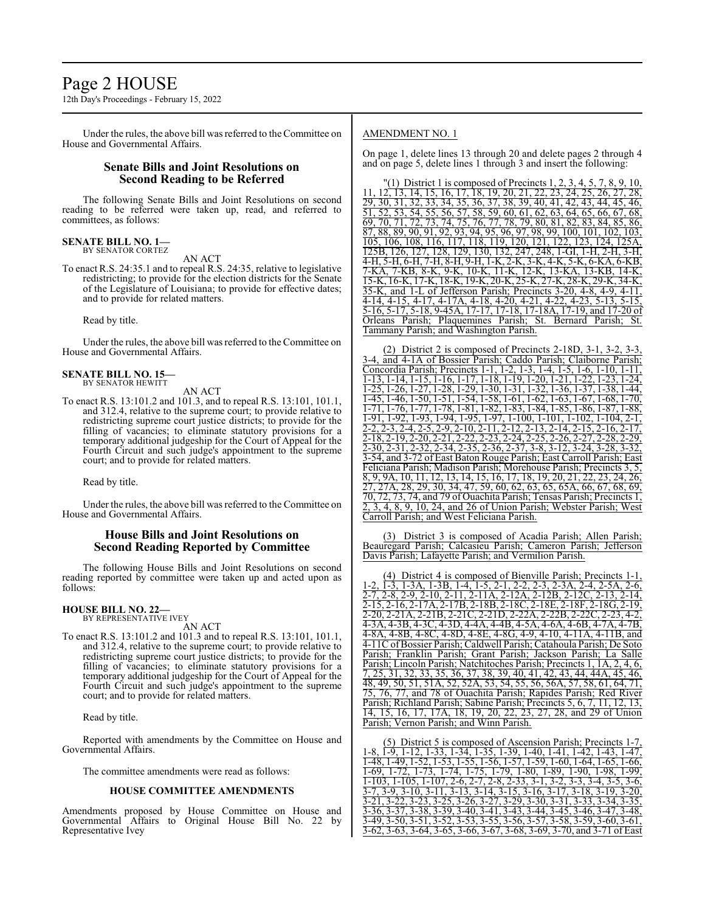# Page 2 HOUSE

12th Day's Proceedings - February 15, 2022

Under the rules, the above bill was referred to the Committee on House and Governmental Affairs.

### **Senate Bills and Joint Resolutions on Second Reading to be Referred**

The following Senate Bills and Joint Resolutions on second reading to be referred were taken up, read, and referred to committees, as follows:

#### **SENATE BILL NO. 1—** BY SENATOR CORTEZ

AN ACT

To enact R.S. 24:35.1 and to repeal R.S. 24:35, relative to legislative redistricting; to provide for the election districts for the Senate of the Legislature of Louisiana; to provide for effective dates; and to provide for related matters.

Read by title.

Under the rules, the above bill was referred to the Committee on House and Governmental Affairs.

#### **SENATE BILL NO. 15—** BY SENATOR HEWITT

AN ACT

To enact R.S. 13:101.2 and 101.3, and to repeal R.S. 13:101, 101.1, and 312.4, relative to the supreme court; to provide relative to redistricting supreme court justice districts; to provide for the filling of vacancies; to eliminate statutory provisions for a temporary additional judgeship for the Court of Appeal for the Fourth Circuit and such judge's appointment to the supreme court; and to provide for related matters.

Read by title.

Under the rules, the above bill was referred to the Committee on House and Governmental Affairs.

### **House Bills and Joint Resolutions on Second Reading Reported by Committee**

The following House Bills and Joint Resolutions on second reading reported by committee were taken up and acted upon as follows:

### **HOUSE BILL NO. 22—** BY REPRESENTATIVE IVEY

AN ACT

To enact R.S. 13:101.2 and 101.3 and to repeal R.S. 13:101, 101.1, and 312.4, relative to the supreme court; to provide relative to redistricting supreme court justice districts; to provide for the filling of vacancies; to eliminate statutory provisions for a temporary additional judgeship for the Court of Appeal for the Fourth Circuit and such judge's appointment to the supreme court; and to provide for related matters.

Read by title.

Reported with amendments by the Committee on House and Governmental Affairs.

The committee amendments were read as follows:

### **HOUSE COMMITTEE AMENDMENTS**

Amendments proposed by House Committee on House and Governmental Affairs to Original House Bill No. 22 by Representative Ivey

### AMENDMENT NO. 1

On page 1, delete lines 13 through 20 and delete pages 2 through 4 and on page 5, delete lines 1 through 3 and insert the following:

 $\Gamma(1)$  District 1 is composed of Precincts 1, 2, 3, 4, 5, 7, 8, 9, 10, 11, 12, 13, 14, 15, 16, 17, 18, 19, 20, 21, 22, 23, 24, 25, 26, 27, 28, 29, 30, 31, 32, 33, 34, 35, 36, 37, 38, 39, 40, 41, 42, 43, 44, 45, 46, 51, 52, 53, 54, 55, 56, 57, 58, 59, 60, 61, 62, 63, 64, 65, 66, 67, 68, 69, 70, 71, 72, 73, 74, 75, 76, 77, 78, 79, 80, 81, 82, 83, 84, 85, 86, 87, 88, 89, 90, 91, 92, 93, 94, 95, 96, 97, 98, 99, 100, 101, 102, 103, 105, 106, 108, 116, 117, 118, 119, 120, 121, 122, 123, 124, 125A, 125B, 126, 127, 128, 129, 130, 132, 247, 248, 1-GI, 1-H, 2-H, 3-H, 4-H, 5-H, 6-H, 7-H, 8-H, 9-H, 1-K, 2-K, 3-K, 4-K, 5-K, 6-KA, 6-KB, 7-KA, 7-KB, 8-K, 9-K, 10-K, 11-K, 12-K, 13-KA, 13-KB, 14-K, 15-K, 16-K, 17-K, 18-K, 19-K, 20-K, 25-K, 27-K, 28-K, 29-K, 34-K, 35-K, and 1-L of Jefferson Parish; Precincts 3-20, 4-8, 4-9, 4-11, 4-14, 4-15, 4-17, 4-17A, 4-18, 4-20, 4-21, 4-22, 4-23, 5-13, 5-15, 5-16, 5-17, 5-18, 9-45A, 17-17, 17-18, 17-18A, 17-19, and 17-20 of Orleans Parish; Plaquemines Parish; St. Bernard Parish; St. Tammany Parish; and Washington Parish.

(2) District 2 is composed of Precincts 2-18D, 3-1, 3-2, 3-3, 3-4, and 4-1A of Bossier Parish; Caddo Parish; Claiborne Parish; Concordia Parish; Precincts 1-1, 1-2, 1-3, 1-4, 1-5, 1-6, 1-10, 1-11, 1-13, 1-14, 1-15, 1-16, 1-17, 1-18, 1-19, 1-20, 1-21, 1-22, 1-23, 1-24, 1-25, 1-26, 1-27, 1-28, 1-29, 1-30, 1-31, 1-32, 1-36, 1-37, 1-38, 1-44, 1-45, 1-46, 1-50, 1-51, 1-54, 1-58, 1-61, 1-62, 1-63, 1-67, 1-68, 1-70, 1-71, 1-76, 1-77, 1-78, 1-81, 1-82, 1-83, 1-84, 1-85, 1-86, 1-87, 1-88, 1-91, 1-92, 1-93, 1-94, 1-95, 1-97, 1-100, 1-101, 1-102, 1-104, 2-1, 2-2, 2-3, 2-4, 2-5, 2-9, 2-10, 2-11, 2-12, 2-13, 2-14, 2-15, 2-16, 2-17, 2-18, 2-19, 2-20, 2-21, 2-22, 2-23, 2-24, 2-25, 2-26, 2-27, 2-28, 2-29, 2-30, 2-31, 2-32, 2-34, 2-35, 2-36, 2-37, 3-8, 3-12, 3-24, 3-28, 3-32, 3-54, and 3-72 of East Baton Rouge Parish; East Carroll Parish; East Feliciana Parish; Madison Parish; Morehouse Parish; Precincts 3, 5,  $8, 9, 9A, 10, 11, 12, 13, 14, 15, 16, 17, 18, 19, 20, 21, 22, 23, 24, 26, 27, 27A, 28, 29, 30, 34, 47, 59, 60, 62, 63, 65, 65A, 66, 67, 68, 69, 60, 61, 62, 63, 65, 65A, 66, 67, 68, 69, 60, 61, 62, 63, 64, 65, 65A, 66, 67$ 27, 27A, 28, 29, 30, 34, 47, 59, 60, 62, 63, 65, 65A, 66, 67, 68, 69,<br>70, 72, 73, 74, and 79 of Quachita Parish: Tensas Parish: Precincts 1, 70, 72, 73, 74, and 79 of Ouachita Parish; Tensas Parish; Precincts 1,  $2, 3, 4, 8, 9, 10, 24,$  and 26 of Union Parish; Webster Parish; West Carroll Parish; and West Feliciana Parish.

(3) District 3 is composed of Acadia Parish; Allen Parish; Beauregard Parish; Calcasieu Parish; Cameron Parish; Jefferson Davis Parish; Lafayette Parish; and Vermilion Parish.

(4) District 4 is composed of Bienville Parish; Precincts 1-1 1-2, 1-3, 1-3A, 1-3B, 1-4, 1-5, 2-1, 2-2, 2-3, 2-3A, 2-4, 2-5A, 2-6, 2-7, 2-8, 2-9, 2-10, 2-11, 2-11A, 2-12A, 2-12B, 2-12C, 2-13, 2-14, 2-15, 2-16, 2-17A, 2-17B, 2-18B, 2-18C, 2-18E, 2-18F, 2-18G, 2-19, 2-20, 2-21A, 2-21B, 2-21C, 2-21D, 2-22A, 2-22B, 2-22C, 2-23, 4-2, 4-3A, 4-3B, 4-3C, 4-3D, 4-4A, 4-4B, 4-5A, 4-6A, 4-6B, 4-7A, 4-7B, 4-8A, 4-8B, 4-8C, 4-8D, 4-8E, 4-8G, 4-9, 4-10, 4-11A, 4-11B, and 4-11C ofBossier Parish; Caldwell Parish; Catahoula Parish; De Soto Parish; Franklin Parish; Grant Parish; Jackson Parish; La Salle Parish; Lincoln Parish; Natchitoches Parish; Precincts 1, 1A, 2, 4, 6, 7, 25, 31, 32, 33, 35, 36, 37, 38, 39, 40, 41, 42, 43, 44, 44A, 45, 46, 48, 49, 50, 51, 51A, 52, 52A, 53, 54, 55, 56, 56A, 57, 58, 61, 64, 71, 75, 76, 77, and 78 of Ouachita Parish; Rapides Parish; Red River Parish; Richland Parish; Sabine Parish; Precincts 5, 6, 7, 11, 12, 13, 14, 15, 16, 17, 17A, 18, 19, 20, 22, 23, 27, 28, and 29 of Union Parish; Vernon Parish; and Winn Parish.

(5) District 5 is composed of Ascension Parish; Precincts 1-7, 1-8, 1-9, 1-12, 1-33, 1-34, 1-35, 1-39, 1-40, 1-41, 1-42, 1-43, 1-47, 1-48, 1-49, 1-52, 1-53, 1-55, 1-56, 1-57, 1-59, 1-60, 1-64, 1-65, 1-66, 1-69, 1-72, 1-73, 1-74, 1-75, 1-79, 1-80, 1-89, 1-90, 1-98, 1-99, 1-103, 1-105, 1-107, 2-6, 2-7, 2-8, 2-33, 3-1, 3-2, 3-3, 3-4, 3-5, 3-6, 3-7, 3-9, 3-10, 3-11, 3-13, 3-14, 3-15, 3-16, 3-17, 3-18, 3-19, 3-20, 3-21, 3-22, 3-23, 3-25, 3-26, 3-27, 3-29, 3-30, 3-31, 3-33, 3-34, 3-35, 3-36, 3-37, 3-38, 3-39, 3-40, 3-41, 3-43, 3-44, 3-45, 3-46, 3-47, 3-48, 3-49, 3-50, 3-51, 3-52, 3-53, 3-55, 3-56, 3-57, 3-58, 3-59, 3-60, 3-61, 3-62, 3-63, 3-64, 3-65, 3-66, 3-67, 3-68, 3-69, 3-70, and 3-71 of East